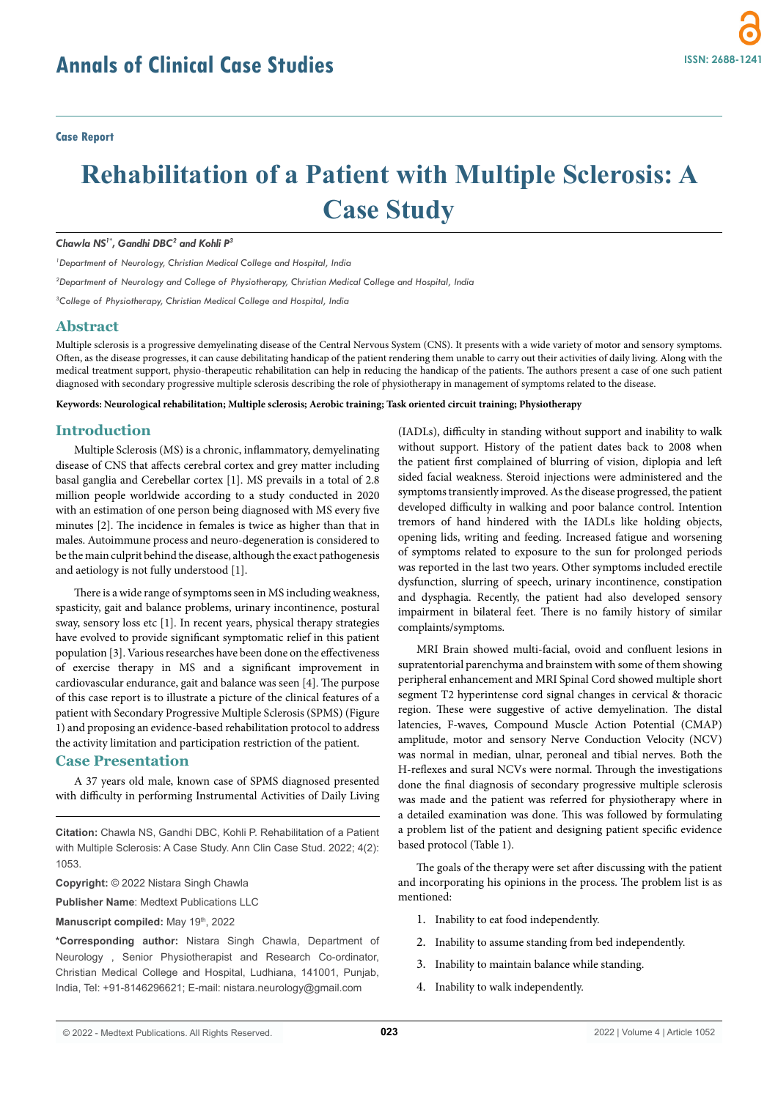# **Rehabilitation of a Patient with Multiple Sclerosis: A Case Study**

*Chawla NS1\*, Gandhi DBC2 and Kohli P3*

*1 Department of Neurology, Christian Medical College and Hospital, India*

*2 Department of Neurology and College of Physiotherapy, Christian Medical College and Hospital, India*

*3 College of Physiotherapy, Christian Medical College and Hospital, India*

## **Abstract**

Multiple sclerosis is a progressive demyelinating disease of the Central Nervous System (CNS). It presents with a wide variety of motor and sensory symptoms. Often, as the disease progresses, it can cause debilitating handicap of the patient rendering them unable to carry out their activities of daily living. Along with the medical treatment support, physio-therapeutic rehabilitation can help in reducing the handicap of the patients. The authors present a case of one such patient diagnosed with secondary progressive multiple sclerosis describing the role of physiotherapy in management of symptoms related to the disease.

**Keywords: Neurological rehabilitation; Multiple sclerosis; Aerobic training; Task oriented circuit training; Physiotherapy**

# **Introduction**

Multiple Sclerosis (MS) is a chronic, inflammatory, demyelinating disease of CNS that affects cerebral cortex and grey matter including basal ganglia and Cerebellar cortex [1]. MS prevails in a total of 2.8 million people worldwide according to a study conducted in 2020 with an estimation of one person being diagnosed with MS every five minutes [2]. The incidence in females is twice as higher than that in males. Autoimmune process and neuro-degeneration is considered to be the main culprit behind the disease, although the exact pathogenesis and aetiology is not fully understood [1].

There is a wide range of symptoms seen in MS including weakness, spasticity, gait and balance problems, urinary incontinence, postural sway, sensory loss etc [1]. In recent years, physical therapy strategies have evolved to provide significant symptomatic relief in this patient population [3]. Various researches have been done on the effectiveness of exercise therapy in MS and a significant improvement in cardiovascular endurance, gait and balance was seen [4]. The purpose of this case report is to illustrate a picture of the clinical features of a patient with Secondary Progressive Multiple Sclerosis (SPMS) (Figure 1) and proposing an evidence-based rehabilitation protocol to address the activity limitation and participation restriction of the patient.

## **Case Presentation**

A 37 years old male, known case of SPMS diagnosed presented with difficulty in performing Instrumental Activities of Daily Living

**Citation:** Chawla NS, Gandhi DBC, Kohli P. Rehabilitation of a Patient with Multiple Sclerosis: A Case Study. Ann Clin Case Stud. 2022; 4(2): 1053.

**Copyright:** © 2022 Nistara Singh Chawla

**Publisher Name**: Medtext Publications LLC

Manuscript compiled: May 19th, 2022

**\*Corresponding author:** Nistara Singh Chawla, Department of Neurology , Senior Physiotherapist and Research Co-ordinator, Christian Medical College and Hospital, Ludhiana, 141001, Punjab, India, Tel: +91-8146296621; E-mail: nistara.neurology@gmail.com

(IADLs), difficulty in standing without support and inability to walk without support. History of the patient dates back to 2008 when the patient first complained of blurring of vision, diplopia and left sided facial weakness. Steroid injections were administered and the symptoms transiently improved. As the disease progressed, the patient developed difficulty in walking and poor balance control. Intention tremors of hand hindered with the IADLs like holding objects, opening lids, writing and feeding. Increased fatigue and worsening of symptoms related to exposure to the sun for prolonged periods was reported in the last two years. Other symptoms included erectile dysfunction, slurring of speech, urinary incontinence, constipation and dysphagia. Recently, the patient had also developed sensory impairment in bilateral feet. There is no family history of similar complaints/symptoms.

MRI Brain showed multi-facial, ovoid and confluent lesions in supratentorial parenchyma and brainstem with some of them showing peripheral enhancement and MRI Spinal Cord showed multiple short segment T2 hyperintense cord signal changes in cervical & thoracic region. These were suggestive of active demyelination. The distal latencies, F-waves, Compound Muscle Action Potential (CMAP) amplitude, motor and sensory Nerve Conduction Velocity (NCV) was normal in median, ulnar, peroneal and tibial nerves. Both the H-reflexes and sural NCVs were normal. Through the investigations done the final diagnosis of secondary progressive multiple sclerosis was made and the patient was referred for physiotherapy where in a detailed examination was done. This was followed by formulating a problem list of the patient and designing patient specific evidence based protocol (Table 1).

The goals of the therapy were set after discussing with the patient and incorporating his opinions in the process. The problem list is as mentioned:

- 1. Inability to eat food independently.
- 2. Inability to assume standing from bed independently.
- 3. Inability to maintain balance while standing.
- 4. Inability to walk independently.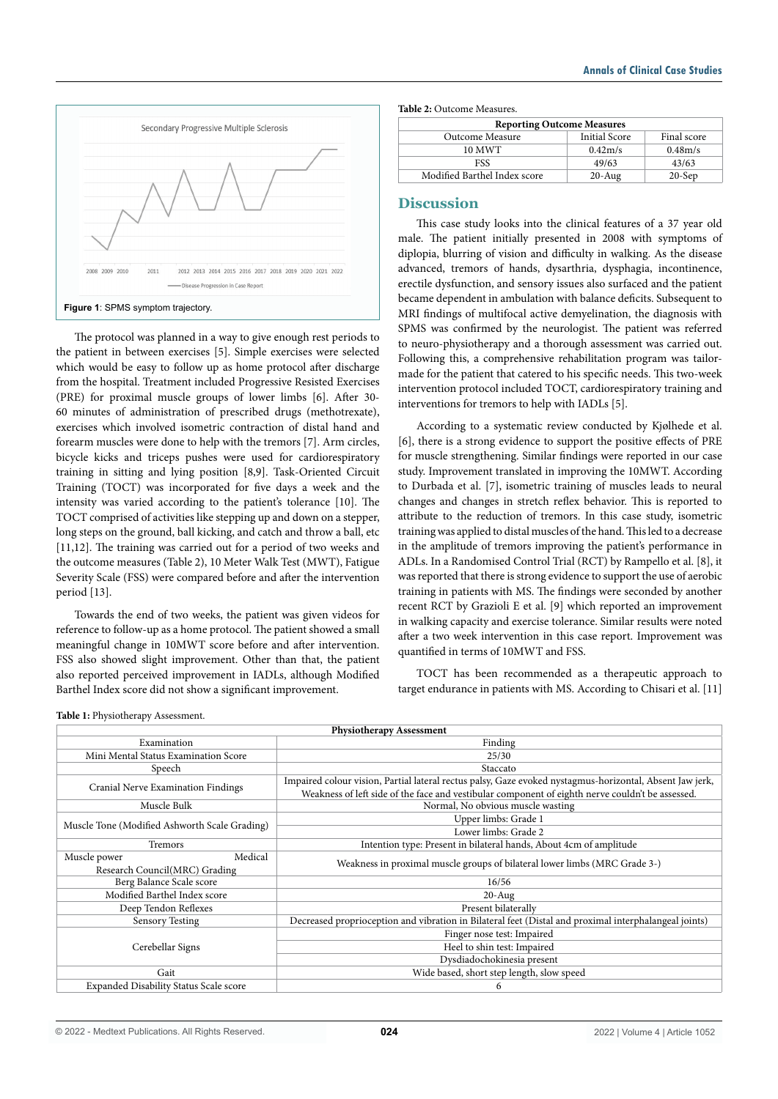

The protocol was planned in a way to give enough rest periods to the patient in between exercises [5]. Simple exercises were selected which would be easy to follow up as home protocol after discharge from the hospital. Treatment included Progressive Resisted Exercises (PRE) for proximal muscle groups of lower limbs [6]. After 30- 60 minutes of administration of prescribed drugs (methotrexate), exercises which involved isometric contraction of distal hand and forearm muscles were done to help with the tremors [7]. Arm circles, bicycle kicks and triceps pushes were used for cardiorespiratory training in sitting and lying position [8,9]. Task-Oriented Circuit Training (TOCT) was incorporated for five days a week and the intensity was varied according to the patient's tolerance [10]. The TOCT comprised of activities like stepping up and down on a stepper, long steps on the ground, ball kicking, and catch and throw a ball, etc [11,12]. The training was carried out for a period of two weeks and the outcome measures (Table 2), 10 Meter Walk Test (MWT), Fatigue Severity Scale (FSS) were compared before and after the intervention period [13].

Towards the end of two weeks, the patient was given videos for reference to follow-up as a home protocol. The patient showed a small meaningful change in 10MWT score before and after intervention. FSS also showed slight improvement. Other than that, the patient also reported perceived improvement in IADLs, although Modified Barthel Index score did not show a significant improvement.

**Table 2:** Outcome Measures.

| <b>Reporting Outcome Measures</b> |                      |             |
|-----------------------------------|----------------------|-------------|
| Outcome Measure                   | <b>Initial Score</b> | Final score |
| 10 MWT                            | 0.42m/s              | 0.48m/s     |
| FSS                               | 49/63                | 43/63       |
| Modified Barthel Index score      | $20$ -Aug            | $20-Sep$    |

#### **Discussion**

This case study looks into the clinical features of a 37 year old male. The patient initially presented in 2008 with symptoms of diplopia, blurring of vision and difficulty in walking. As the disease advanced, tremors of hands, dysarthria, dysphagia, incontinence, erectile dysfunction, and sensory issues also surfaced and the patient became dependent in ambulation with balance deficits. Subsequent to MRI findings of multifocal active demyelination, the diagnosis with SPMS was confirmed by the neurologist. The patient was referred to neuro-physiotherapy and a thorough assessment was carried out. Following this, a comprehensive rehabilitation program was tailormade for the patient that catered to his specific needs. This two-week intervention protocol included TOCT, cardiorespiratory training and interventions for tremors to help with IADLs [5].

According to a systematic review conducted by Kjølhede et al. [6], there is a strong evidence to support the positive effects of PRE for muscle strengthening. Similar findings were reported in our case study. Improvement translated in improving the 10MWT. According to Durbada et al. [7], isometric training of muscles leads to neural changes and changes in stretch reflex behavior. This is reported to attribute to the reduction of tremors. In this case study, isometric training was applied to distal muscles of the hand. This led to a decrease in the amplitude of tremors improving the patient's performance in ADLs. In a Randomised Control Trial (RCT) by Rampello et al. [8], it was reported that there is strong evidence to support the use of aerobic training in patients with MS. The findings were seconded by another recent RCT by Grazioli E et al. [9] which reported an improvement in walking capacity and exercise tolerance. Similar results were noted after a two week intervention in this case report. Improvement was quantified in terms of 10MWT and FSS.

TOCT has been recommended as a therapeutic approach to target endurance in patients with MS. According to Chisari et al. [11]

| <b>Physiotherapy Assessment</b>               |                                                                                                          |  |
|-----------------------------------------------|----------------------------------------------------------------------------------------------------------|--|
| Examination                                   | Finding                                                                                                  |  |
| Mini Mental Status Examination Score          | 25/30                                                                                                    |  |
| Speech                                        | Staccato                                                                                                 |  |
| Cranial Nerve Examination Findings            | Impaired colour vision, Partial lateral rectus palsy, Gaze evoked nystagmus-horizontal, Absent Jaw jerk, |  |
|                                               | Weakness of left side of the face and vestibular component of eighth nerve couldn't be assessed.         |  |
| Muscle Bulk                                   | Normal, No obvious muscle wasting                                                                        |  |
| Muscle Tone (Modified Ashworth Scale Grading) | Upper limbs: Grade 1                                                                                     |  |
|                                               | Lower limbs: Grade 2                                                                                     |  |
| <b>Tremors</b>                                | Intention type: Present in bilateral hands, About 4cm of amplitude                                       |  |
| Muscle power<br>Medical                       | Weakness in proximal muscle groups of bilateral lower limbs (MRC Grade 3-)                               |  |
| Research Council(MRC) Grading                 |                                                                                                          |  |
| Berg Balance Scale score                      | 16/56                                                                                                    |  |
| Modified Barthel Index score                  | $20$ -Aug                                                                                                |  |
| Present bilaterally<br>Deep Tendon Reflexes   |                                                                                                          |  |
| <b>Sensory Testing</b>                        | Decreased proprioception and vibration in Bilateral feet (Distal and proximal interphalangeal joints)    |  |
| Cerebellar Signs                              | Finger nose test: Impaired                                                                               |  |
|                                               | Heel to shin test: Impaired                                                                              |  |
|                                               | Dysdiadochokinesia present                                                                               |  |
| Gait                                          | Wide based, short step length, slow speed                                                                |  |
| Expanded Disability Status Scale score        | 6                                                                                                        |  |